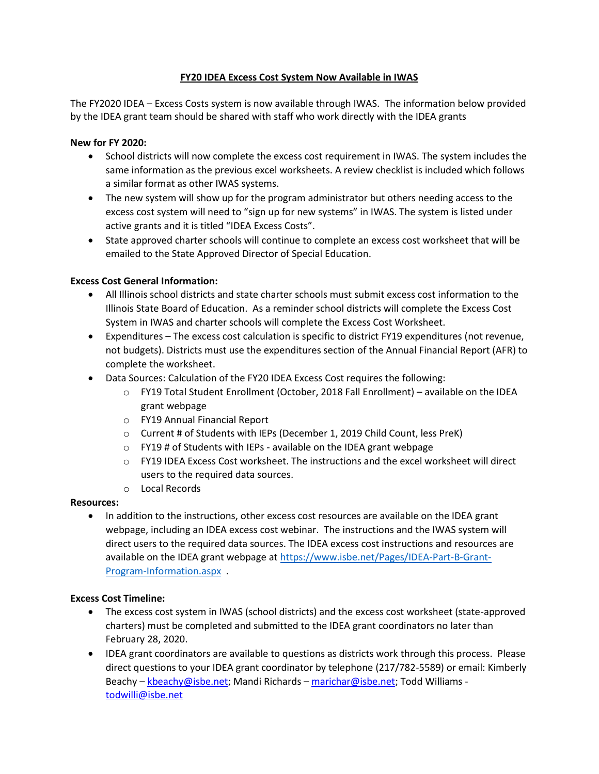# **FY20 IDEA Excess Cost System Now Available in IWAS**

The FY2020 IDEA – Excess Costs system is now available through IWAS. The information below provided by the IDEA grant team should be shared with staff who work directly with the IDEA grants

# **New for FY 2020:**

- School districts will now complete the excess cost requirement in IWAS. The system includes the same information as the previous excel worksheets. A review checklist is included which follows a similar format as other IWAS systems.
- The new system will show up for the program administrator but others needing access to the excess cost system will need to "sign up for new systems" in IWAS. The system is listed under active grants and it is titled "IDEA Excess Costs".
- State approved charter schools will continue to complete an excess cost worksheet that will be emailed to the State Approved Director of Special Education.

# **Excess Cost General Information:**

- All Illinois school districts and state charter schools must submit excess cost information to the Illinois State Board of Education. As a reminder school districts will complete the Excess Cost System in IWAS and charter schools will complete the Excess Cost Worksheet.
- Expenditures The excess cost calculation is specific to district FY19 expenditures (not revenue, not budgets). Districts must use the expenditures section of the Annual Financial Report (AFR) to complete the worksheet.
- Data Sources: Calculation of the FY20 IDEA Excess Cost requires the following:
	- o FY19 Total Student Enrollment (October, 2018 Fall Enrollment) available on the IDEA grant webpage
	- o FY19 Annual Financial Report
	- o Current # of Students with IEPs (December 1, 2019 Child Count, less PreK)
	- o FY19 # of Students with IEPs available on the IDEA grant webpage
	- o FY19 IDEA Excess Cost worksheet. The instructions and the excel worksheet will direct users to the required data sources.
	- o Local Records

## **Resources:**

• In addition to the instructions, other excess cost resources are available on the IDEA grant webpage, including an IDEA excess cost webinar. The instructions and the IWAS system will direct users to the required data sources. The IDEA excess cost instructions and resources are available on the IDEA grant webpage at [https://www.isbe.net/Pages/IDEA-Part-B-Grant-](https://www.isbe.net/Pages/IDEA-Part-B-Grant-Program-Information.aspx)[Program-Information.aspx](https://www.isbe.net/Pages/IDEA-Part-B-Grant-Program-Information.aspx) .

## **Excess Cost Timeline:**

- The excess cost system in IWAS (school districts) and the excess cost worksheet (state-approved charters) must be completed and submitted to the IDEA grant coordinators no later than February 28, 2020.
- IDEA grant coordinators are available to questions as districts work through this process. Please direct questions to your IDEA grant coordinator by telephone (217/782-5589) or email: Kimberly Beachy – [kbeachy@isbe.net;](mailto:kbeachy@isbe.net) Mandi Richards – [marichar@isbe.net;](mailto:marichar@isbe.net) Todd Williams [todwilli@isbe.net](mailto:todwilli@isbe.net)